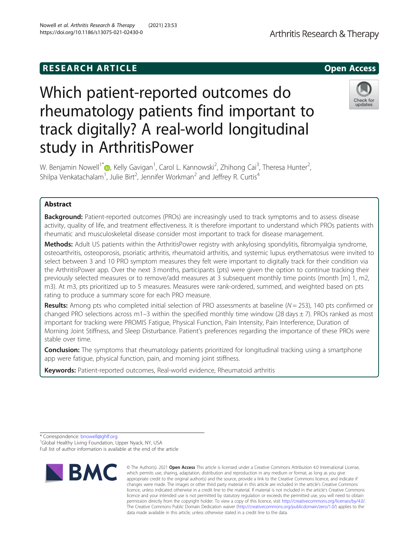# **RESEARCH ARTICLE Example 20 and 20 and 20 and 20 and 20 and 20 and 20 and 20 and 20 and 20 and 20 and 20 and 20 and 20 and 20 and 20 and 20 and 20 and 20 and 20 and 20 and 20 and 20 and 20 and 20 and 20 and 20 and 20 an**

# Which patient-reported outcomes do rheumatology patients find important to track digitally? A real-world longitudinal study in ArthritisPower

W. Benjamin Nowell $^1$   $\textcircled{\tiny{\bullet}}$ [,](http://orcid.org/0000-0002-4951-6476) Kelly Gavigan $^1$ , Carol L. Kannowski $^2$ , Zhihong Cai $^3$ , Theresa Hunter $^2$ , Shilpa Venkatachalam<sup>1</sup>, Julie Birt<sup>2</sup>, Jennifer Workman<sup>2</sup> and Jeffrey R. Curtis<sup>4</sup>

# Abstract

**Background:** Patient-reported outcomes (PROs) are increasingly used to track symptoms and to assess disease activity, quality of life, and treatment effectiveness. It is therefore important to understand which PROs patients with rheumatic and musculoskeletal disease consider most important to track for disease management.

Methods: Adult US patients within the ArthritisPower registry with ankylosing spondylitis, fibromyalgia syndrome, osteoarthritis, osteoporosis, psoriatic arthritis, rheumatoid arthritis, and systemic lupus erythematosus were invited to select between 3 and 10 PRO symptom measures they felt were important to digitally track for their condition via the ArthritisPower app. Over the next 3 months, participants (pts) were given the option to continue tracking their previously selected measures or to remove/add measures at 3 subsequent monthly time points (month [m] 1, m2, m3). At m3, pts prioritized up to 5 measures. Measures were rank-ordered, summed, and weighted based on pts rating to produce a summary score for each PRO measure.

**Results:** Among pts who completed initial selection of PRO assessments at baseline ( $N = 253$ ), 140 pts confirmed or changed PRO selections across m1-3 within the specified monthly time window (28 days  $\pm$  7). PROs ranked as most important for tracking were PROMIS Fatigue, Physical Function, Pain Intensity, Pain Interference, Duration of Morning Joint Stiffness, and Sleep Disturbance. Patient's preferences regarding the importance of these PROs were stable over time.

**Conclusion:** The symptoms that rheumatology patients prioritized for longitudinal tracking using a smartphone app were fatigue, physical function, pain, and morning joint stiffness.

Keywords: Patient-reported outcomes, Real-world evidence, Rheumatoid arthritis

Full list of author information is available at the end of the article







<sup>©</sup> The Author(s), 2021 **Open Access** This article is licensed under a Creative Commons Attribution 4.0 International License, which permits use, sharing, adaptation, distribution and reproduction in any medium or format, as long as you give appropriate credit to the original author(s) and the source, provide a link to the Creative Commons licence, and indicate if changes were made. The images or other third party material in this article are included in the article's Creative Commons licence, unless indicated otherwise in a credit line to the material. If material is not included in the article's Creative Commons licence and your intended use is not permitted by statutory regulation or exceeds the permitted use, you will need to obtain permission directly from the copyright holder. To view a copy of this licence, visit [http://creativecommons.org/licenses/by/4.0/.](http://creativecommons.org/licenses/by/4.0/) The Creative Commons Public Domain Dedication waiver [\(http://creativecommons.org/publicdomain/zero/1.0/](http://creativecommons.org/publicdomain/zero/1.0/)) applies to the data made available in this article, unless otherwise stated in a credit line to the data.

<sup>\*</sup> Correspondence: [bnowell@ghlf.org](mailto:bnowell@ghlf.org) <sup>1</sup> <sup>1</sup>Global Healthy Living Foundation, Upper Nyack, NY, USA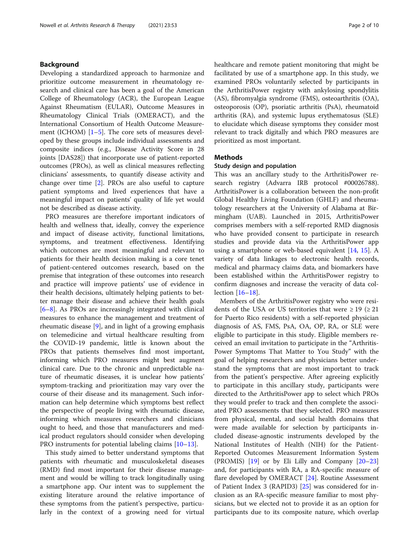# Background

Developing a standardized approach to harmonize and prioritize outcome measurement in rheumatology research and clinical care has been a goal of the American College of Rheumatology (ACR), the European League Against Rheumatism (EULAR), Outcome Measures in Rheumatology Clinical Trials (OMERACT), and the International Consortium of Health Outcome Measure-ment (ICHOM) [[1](#page-8-0)–[5](#page-8-0)]. The core sets of measures developed by these groups include individual assessments and composite indices (e.g., Disease Activity Score in 28 joints [DAS28]) that incorporate use of patient-reported outcomes (PROs), as well as clinical measures reflecting clinicians' assessments, to quantify disease activity and change over time  $[2]$  $[2]$ . PROs are also useful to capture patient symptoms and lived experiences that have a meaningful impact on patients' quality of life yet would not be described as disease activity.

PRO measures are therefore important indicators of health and wellness that, ideally, convey the experience and impact of disease activity, functional limitations, symptoms, and treatment effectiveness. Identifying which outcomes are most meaningful and relevant to patients for their health decision making is a core tenet of patient-centered outcomes research, based on the premise that integration of these outcomes into research and practice will improve patients' use of evidence in their health decisions, ultimately helping patients to better manage their disease and achieve their health goals [[6](#page-8-0)–[8\]](#page-8-0). As PROs are increasingly integrated with clinical measures to enhance the management and treatment of rheumatic disease [[9\]](#page-8-0), and in light of a growing emphasis on telemedicine and virtual healthcare resulting from the COVID-19 pandemic, little is known about the PROs that patients themselves find most important, informing which PRO measures might best augment clinical care. Due to the chronic and unpredictable nature of rheumatic diseases, it is unclear how patients' symptom-tracking and prioritization may vary over the course of their disease and its management. Such information can help determine which symptoms best reflect the perspective of people living with rheumatic disease, informing which measures researchers and clinicians ought to heed, and those that manufacturers and medical product regulators should consider when developing PRO instruments for potential labeling claims [[10](#page-8-0)–[13](#page-8-0)].

This study aimed to better understand symptoms that patients with rheumatic and musculoskeletal diseases (RMD) find most important for their disease management and would be willing to track longitudinally using a smartphone app. Our intent was to supplement the existing literature around the relative importance of these symptoms from the patient's perspective, particularly in the context of a growing need for virtual healthcare and remote patient monitoring that might be facilitated by use of a smartphone app. In this study, we examined PROs voluntarily selected by participants in the ArthritisPower registry with ankylosing spondylitis (AS), fibromyalgia syndrome (FMS), osteoarthritis (OA), osteoporosis (OP), psoriatic arthritis (PsA), rheumatoid arthritis (RA), and systemic lupus erythematosus (SLE) to elucidate which disease symptoms they consider most relevant to track digitally and which PRO measures are prioritized as most important.

## Methods

#### Study design and population

This was an ancillary study to the ArthritisPower research registry (Advarra IRB protocol #00026788). ArthritisPower is a collaboration between the non-profit Global Healthy Living Foundation (GHLF) and rheumatology researchers at the University of Alabama at Birmingham (UAB). Launched in 2015, ArthritisPower comprises members with a self-reported RMD diagnosis who have provided consent to participate in research studies and provide data via the ArthritisPower app using a smartphone or web-based equivalent [\[14](#page-9-0), [15\]](#page-9-0). A variety of data linkages to electronic health records, medical and pharmacy claims data, and biomarkers have been established within the ArthritisPower registry to confirm diagnoses and increase the veracity of data collection [\[16](#page-9-0)–[18](#page-9-0)].

Members of the ArthritisPower registry who were residents of the USA or US territories that were  $\geq 19$  ( $\geq 21$ ) for Puerto Rico residents) with a self-reported physician diagnosis of AS, FMS, PsA, OA, OP, RA, or SLE were eligible to participate in this study. Eligible members received an email invitation to participate in the "Arthritis-Power Symptoms That Matter to You Study" with the goal of helping researchers and physicians better understand the symptoms that are most important to track from the patient's perspective. After agreeing explicitly to participate in this ancillary study, participants were directed to the ArthritisPower app to select which PROs they would prefer to track and then complete the associated PRO assessments that they selected. PRO measures from physical, mental, and social health domains that were made available for selection by participants included disease-agnostic instruments developed by the National Institutes of Health (NIH) for the Patient-Reported Outcomes Measurement Information System (PROMIS) [\[19\]](#page-9-0) or by Eli Lilly and Company [[20](#page-9-0)–[23](#page-9-0)] and, for participants with RA, a RA-specific measure of flare developed by OMERACT [\[24](#page-9-0)]. Routine Assessment of Patient Index 3 (RAPID3) [[25](#page-9-0)] was considered for inclusion as an RA-specific measure familiar to most physicians, but we elected not to provide it as an option for participants due to its composite nature, which overlap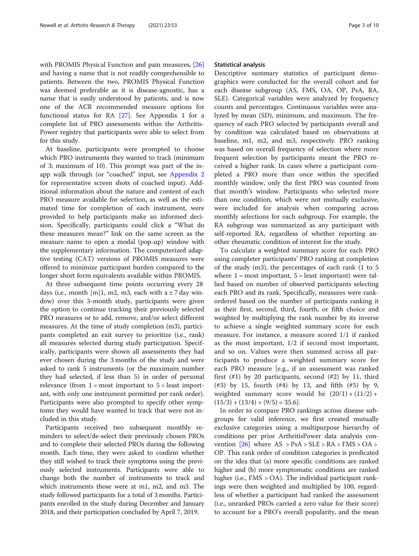with PROMIS Physical Function and pain measures, [[26](#page-9-0)] and having a name that is not readily comprehensible to patients. Between the two, PROMIS Physical Function was deemed preferable as it is disease-agnostic, has a name that is easily understood by patients, and is now one of the ACR recommended measure options for functional status for RA [\[27](#page-9-0)]. See Appendix [1](#page-8-0) for a complete list of PRO assessments within the Arthritis-Power registry that participants were able to select from for this study.

At baseline, participants were prompted to choose which PRO instruments they wanted to track (minimum of 3; maximum of 10). This prompt was part of the inapp walk through (or "coached" input, see [Appendix 2](#page-8-0) for representative screen shots of coached input). Additional information about the nature and content of each PRO measure available for selection, as well as the estimated time for completion of each instrument, were provided to help participants make an informed decision. Specifically, participants could click a "What do these measures mean?" link on the same screen as the measure name to open a modal (pop-up) window with the supplementary information. The computerized adaptive testing (CAT) versions of PROMIS measures were offered to minimize participant burden compared to the longer short form equivalents available within PROMIS.

At three subsequent time points occurring every 28 days (i.e., month [m]1, m2, m3, each with  $a \pm 7$  day window) over this 3-month study, participants were given the option to continue tracking their previously selected PRO measures or to add, remove, and/or select different measures. At the time of study completion (m3), participants completed an exit survey to prioritize (i.e., rank) all measures selected during study participation. Specifically, participants were shown all assessments they had ever chosen during the 3 months of the study and were asked to rank 5 instruments (or the maximum number they had selected, if less than 5) in order of personal relevance (from  $1 = \text{most important to } 5 = \text{least import-}$ ant, with only one instrument permitted per rank order). Participants were also prompted to specify other symptoms they would have wanted to track that were not included in this study.

Participants received two subsequent monthly reminders to select/de-select their previously chosen PROs and to complete their selected PROs during the following month. Each time, they were asked to confirm whether they still wished to track their symptoms using the previously selected instruments. Participants were able to change both the number of instruments to track and which instruments those were at m1, m2, and m3. The study followed participants for a total of 3 months. Participants enrolled in the study during December and January 2018, and their participation concluded by April 7, 2019.

#### Statistical analysis

Descriptive summary statistics of participant demographics were conducted for the overall cohort and for each disease subgroup (AS, FMS, OA, OP, PsA, RA, SLE). Categorical variables were analyzed by frequency counts and percentages. Continuous variables were analyzed by mean (SD), minimum, and maximum. The frequency of each PRO selected by participants overall and by condition was calculated based on observations at baseline, m1, m2, and m3, respectively. PRO ranking was based on overall frequency of selection where more frequent selection by participants meant the PRO received a higher rank. In cases where a participant completed a PRO more than once within the specified monthly window, only the first PRO was counted from that month's window. Participants who selected more than one condition, which were not mutually exclusive, were included for analysis when comparing across monthly selections for each subgroup. For example, the RA subgroup was summarized as any participant with self-reported RA, regardless of whether reporting another rheumatic condition of interest for the study.

To calculate a weighted summary score for each PRO using completer participants' PRO ranking at completion of the study (m3), the percentages of each rank (1 to 5 where  $1 = \text{most important}, 5 = \text{least important}$  were tallied based on number of observed participants selecting each PRO and its rank. Specifically, measures were rankordered based on the number of participants ranking it as their first, second, third, fourth, or fifth choice and weighted by multiplying the rank number by its inverse to achieve a single weighted summary score for each measure. For instance, a measure scored 1/1 if ranked as the most important, 1/2 if second most important, and so on. Values were then summed across all participants to produce a weighted summary score for each PRO measure [e.g., if an assessment was ranked first  $(\#1)$  by 20 participants, second  $(\#2)$  by 11, third (#3) by 15, fourth (#4) by 13, and fifth (#5) by 9, weighted summary score would be  $(20/1) + (11/2) +$  $(15/3) + (13/4) + (9/5) = 35.6$ .

In order to compare PRO rankings across disease subgroups for valid inference, we first created mutually exclusive categories using a multipurpose hierarchy of conditions per prior ArthritisPower data analysis convention  $[26]$  $[26]$  where  $AS > PsA > SLE > RA > FMS > OA >$ OP. This rank order of condition categories is predicated on the idea that (a) more specific conditions are ranked higher and (b) more symptomatic conditions are ranked higher (i.e., FMS > OA). The individual participant rankings were then weighted and multiplied by 100, regardless of whether a participant had ranked the assessment (i.e., unranked PROs carried a zero value for their score) to account for a PRO's overall popularity, and the mean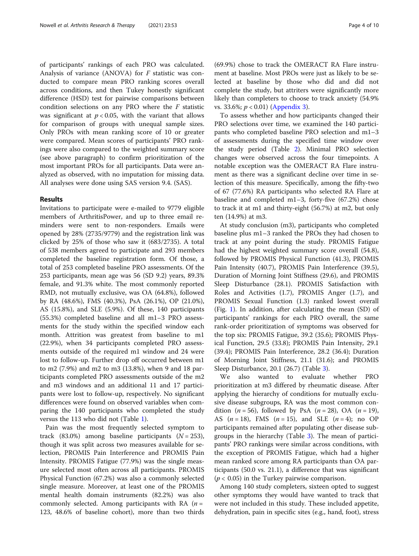of participants' rankings of each PRO was calculated. Analysis of variance (ANOVA) for  $F$  statistic was conducted to compare mean PRO ranking scores overall across conditions, and then Tukey honestly significant difference (HSD) test for pairwise comparisons between condition selections on any PRO where the  $F$  statistic was significant at  $p < 0.05$ , with the variant that allows for comparison of groups with unequal sample sizes. Only PROs with mean ranking score of 10 or greater were compared. Mean scores of participants' PRO rankings were also compared to the weighted summary score (see above paragraph) to confirm prioritization of the most important PROs for all participants. Data were analyzed as observed, with no imputation for missing data. All analyses were done using SAS version 9.4. (SAS).

#### Results

Invitations to participate were e-mailed to 9779 eligible members of ArthritisPower, and up to three email reminders were sent to non-responders. Emails were opened by 28% (2735/9779) and the registration link was clicked by 25% of those who saw it (683/2735). A total of 538 members agreed to participate and 293 members completed the baseline registration form. Of those, a total of 253 completed baseline PRO assessments. Of the 253 participants, mean age was 56 (SD 9.2) years, 89.3% female, and 91.3% white. The most commonly reported RMD, not mutually exclusive, was OA (64.8%), followed by RA (48.6%), FMS (40.3%), PsA (26.1%), OP (21.0%), AS (15.8%), and SLE (5.9%). Of these, 140 participants (55.3%) completed baseline and all m1–3 PRO assessments for the study within the specified window each month. Attrition was greatest from baseline to m1 (22.9%), when 34 participants completed PRO assessments outside of the required m1 window and 24 were lost to follow-up. Further drop off occurred between m1 to m2 (7.9%) and m2 to m3 (13.8%), when 9 and 18 participants completed PRO assessments outside of the m2 and m3 windows and an additional 11 and 17 participants were lost to follow-up, respectively. No significant differences were found on observed variables when comparing the 140 participants who completed the study versus the 113 who did not (Table [1](#page-4-0)).

Pain was the most frequently selected symptom to track (83.0%) among baseline participants  $(N = 253)$ , though it was split across two measures available for selection, PROMIS Pain Interference and PROMIS Pain Intensity. PROMIS Fatigue (77.9%) was the single measure selected most often across all participants. PROMIS Physical Function (67.2%) was also a commonly selected single measure. Moreover, at least one of the PROMIS mental health domain instruments (82.2%) was also commonly selected. Among participants with RA  $(n =$ 123, 48.6% of baseline cohort), more than two thirds

(69.9%) chose to track the OMERACT RA Flare instrument at baseline. Most PROs were just as likely to be selected at baseline by those who did and did not complete the study, but attriters were significantly more likely than completers to choose to track anxiety (54.9% vs. 33.6%;  $p < 0.01$ ) [\(Appendix 3](#page-8-0)).

To assess whether and how participants changed their PRO selections over time, we examined the 140 participants who completed baseline PRO selection and m1–3 of assessments during the specified time window over the study period (Table [2](#page-5-0)). Minimal PRO selection changes were observed across the four timepoints. A notable exception was the OMERACT RA Flare instrument as there was a significant decline over time in selection of this measure. Specifically, among the fifty-two of 67 (77.6%) RA participants who selected RA Flare at baseline and completed m1–3, forty-five (67.2%) chose to track it at m1 and thirty-eight (56.7%) at m2, but only ten (14.9%) at m3.

At study conclusion (m3), participants who completed baseline plus m1–3 ranked the PROs they had chosen to track at any point during the study. PROMIS Fatigue had the highest weighted summary score overall (54.8), followed by PROMIS Physical Function (41.3), PROMIS Pain Intensity (40.7), PROMIS Pain Interference (39.5), Duration of Morning Joint Stiffness (29.6), and PROMIS Sleep Disturbance (28.1). PROMIS Satisfaction with Roles and Activities (1.7), PROMIS Anger (1.7), and PROMIS Sexual Function (1.3) ranked lowest overall (Fig. [1](#page-6-0)). In addition, after calculating the mean (SD) of participants' rankings for each PRO overall, the same rank-order prioritization of symptoms was observed for the top six: PROMIS Fatigue, 39.2 (35.6); PROMIS Physical Function, 29.5 (33.8); PROMIS Pain Intensity, 29.1 (39.4); PROMIS Pain Interference, 28.2 (36.4); Duration of Morning Joint Stiffness, 21.1 (31.6); and PROMIS Sleep Disturbance, 20.1 (26.7) (Table [3\)](#page-6-0).

We also wanted to evaluate whether PRO prioritization at m3 differed by rheumatic disease. After applying the hierarchy of conditions for mutually exclusive disease subgroups, RA was the most common condition ( $n = 56$ ), followed by PsA ( $n = 28$ ), OA ( $n = 19$ ), AS  $(n = 18)$ , FMS  $(n = 15)$ , and SLE  $(n = 4)$ ; no OP participants remained after populating other disease subgroups in the hierarchy (Table [3\)](#page-6-0). The mean of participants' PRO rankings were similar across conditions, with the exception of PROMIS Fatigue, which had a higher mean ranked score among RA participants than OA participants (50.0 vs. 21.1), a difference that was significant  $(p < 0.05)$  in the Turkey pairwise comparison.

Among 140 study completers, sixteen opted to suggest other symptoms they would have wanted to track that were not included in this study. These included appetite, dehydration, pain in specific sites (e.g., hand, foot), stress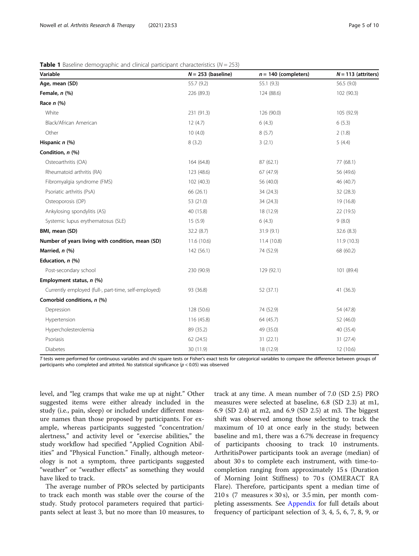| Variable                                             | $N = 253$ (baseline) | $n = 140$ (completers) | $N = 113$ (attriters) |
|------------------------------------------------------|----------------------|------------------------|-----------------------|
| Age, mean (SD)                                       | 55.7 (9.2)           | 55.1 (9.3)             | 56.5 (9.0)            |
| Female, n (%)                                        | 226 (89.3)           | 124 (88.6)             | 102 (90.3)            |
| Race $n$ (%)                                         |                      |                        |                       |
| White                                                | 231 (91.3)           | 126 (90.0)             | 105 (92.9)            |
| Black/African American                               | 12(4.7)              | 6(4.3)                 | 6(5.3)                |
| Other                                                | 10(4.0)              | 8(5.7)                 | 2(1.8)                |
| Hispanic n (%)                                       | 8(3.2)               | 3(2.1)                 | 5(4.4)                |
| Condition, n (%)                                     |                      |                        |                       |
| Osteoarthritis (OA)                                  | 164 (64.8)           | 87(62.1)               | 77 (68.1)             |
| Rheumatoid arthritis (RA)                            | 123 (48.6)           | 67 (47.9)              | 56 (49.6)             |
| Fibromyalgia syndrome (FMS)                          | 102 (40.3)           | 56 (40.0)              | 46 (40.7)             |
| Psoriatic arthritis (PsA)                            | 66 (26.1)            | 34 (24.3)              | 32 (28.3)             |
| Osteoporosis (OP)                                    | 53 (21.0)            | 34 (24.3)              | 19 (16.8)             |
| Ankylosing spondylitis (AS)                          | 40 (15.8)            | 18 (12.9)              | 22 (19.5)             |
| Systemic lupus erythematosus (SLE)                   | 15(5.9)              | 6(4.3)                 | 9(8.0)                |
| BMI, mean (SD)                                       | 32.2(8.7)            | 31.9(9.1)              | 32.6 (8.3)            |
| Number of years living with condition, mean (SD)     | 11.6 (10.6)          | 11.4 (10.8)            | 11.9(10.3)            |
| Married, n (%)                                       | 142(56.1)            | 74 (52.9)              | 68 (60.2)             |
| Education, $n$ (%)                                   |                      |                        |                       |
| Post-secondary school                                | 230 (90.9)           | 129 (92.1)             | 101 (89.4)            |
| Employment status, n (%)                             |                      |                        |                       |
| Currently employed (full-, part-time, self-employed) | 93 (36.8)            | 52 (37.1)              | 41 (36.3)             |
| Comorbid conditions, n (%)                           |                      |                        |                       |
| Depression                                           | 128 (50.6)           | 74 (52.9)              | 54 (47.8)             |
| Hypertension                                         | 116 (45.8)           | 64 (45.7)              | 52 (46.0)             |
| Hypercholesterolemia                                 | 89 (35.2)            | 49 (35.0)              | 40 (35.4)             |
| Psoriasis                                            | 62 (24.5)            | 31(22.1)               | 31 (27.4)             |
| <b>Diabetes</b>                                      | 30 (11.9)            | 18 (12.9)              | 12 (10.6)             |

<span id="page-4-0"></span>

T tests were performed for continuous variables and chi square tests or Fisher's exact tests for categorical variables to compare the difference between groups of participants who completed and attrited. No statistical significance ( $p < 0.05$ ) was observed

level, and "leg cramps that wake me up at night." Other suggested items were either already included in the study (i.e., pain, sleep) or included under different measure names than those proposed by participants. For example, whereas participants suggested "concentration/ alertness," and activity level or "exercise abilities," the study workflow had specified "Applied Cognition Abilities" and "Physical Function." Finally, although meteorology is not a symptom, three participants suggested "weather" or "weather effects" as something they would have liked to track.

The average number of PROs selected by participants to track each month was stable over the course of the study. Study protocol parameters required that participants select at least 3, but no more than 10 measures, to

track at any time. A mean number of 7.0 (SD 2.5) PRO measures were selected at baseline, 6.8 (SD 2.3) at m1, 6.9 (SD 2.4) at m2, and 6.9 (SD 2.5) at m3. The biggest shift was observed among those selecting to track the maximum of 10 at once early in the study; between baseline and m1, there was a 6.7% decrease in frequency of participants choosing to track 10 instruments. ArthritisPower participants took an average (median) of about 30 s to complete each instrument, with time-tocompletion ranging from approximately 15 s (Duration of Morning Joint Stiffness) to 70 s (OMERACT RA Flare). Therefore, participants spent a median time of 210 s (7 measures  $\times$  30 s), or 3.5 min, per month completing assessments. See [Appendix](#page-8-0) for full details about frequency of participant selection of 3, 4, 5, 6, 7, 8, 9, or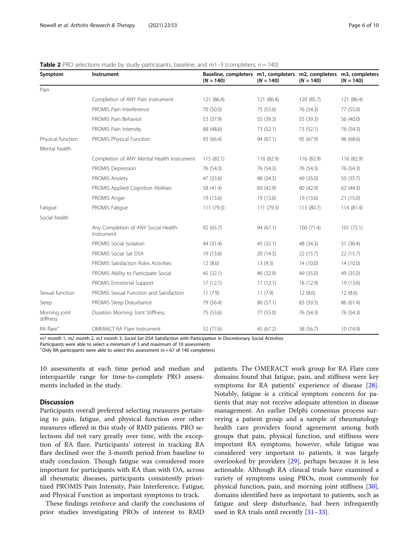| Symptom                    | Instrument                                        | Baseline, completers m1, completers m2, completers m3, completers<br>$(N = 140)$ | $(N = 140)$ | $(N = 140)$ | $(N = 140)$ |
|----------------------------|---------------------------------------------------|----------------------------------------------------------------------------------|-------------|-------------|-------------|
| Pain                       |                                                   |                                                                                  |             |             |             |
|                            | Completion of ANY Pain Instrument                 | 121 (86.4)                                                                       | 121 (86.4)  | 120 (85.7)  | 121 (86.4)  |
|                            | PROMIS Pain Interference                          | 70 (50.0)                                                                        | 75 (53.6)   | 76 (54.3)   | 77 (55.0)   |
|                            | PROMIS Pain Behavior                              | 53 (37.9)                                                                        | 55 (39.3)   | 55 (39.3)   | 56 (40.0)   |
|                            | PROMIS Pain Intensity                             | 68 (48.6)                                                                        | 73 (52.1)   | 73 (52.1)   | 76 (54.3)   |
| Physical function          | PROMIS Physical Function                          | 93 (66.4)                                                                        | 94 (67.1)   | 95 (67.9)   | 96 (68.6)   |
| Mental health              |                                                   |                                                                                  |             |             |             |
|                            | Completion of ANY Mental Health Instrument        | 115(82.1)                                                                        | 116 (82.9)  | 116 (82.9)  | 116 (82.9)  |
|                            | <b>PROMIS Depression</b>                          | 76 (54.3)                                                                        | 76 (54.3)   | 76 (54.3)   | 76 (54.3)   |
|                            | PROMIS Anxiety                                    | 47 (33.6)                                                                        | 48 (34.3)   | 49 (35.0)   | 50 (35.7)   |
|                            | <b>PROMIS Applied Cognition Abilities</b>         | 58 (41.4)                                                                        | 60 (42.9)   | 60 (42.9)   | 62(44.3)    |
|                            | PROMIS Anger                                      | 19 (13.6)                                                                        | 19 (13.6)   | 19 (13.6)   | 21(15.0)    |
| Fatigue                    | PROMIS Fatigue                                    | 111 (79.3)                                                                       | 111(79.3)   | 113 (80.7)  | 114(81.4)   |
| Social health              |                                                   |                                                                                  |             |             |             |
|                            | Any Completion of ANY Social Health<br>Instrument | 92 (65.7)                                                                        | 94 (67.1)   | 100(71.4)   | 101(72.1)   |
|                            | PROMIS Social Isolation                           | 44 (31.4)                                                                        | 45 (32.1)   | 48 (34.3)   | 51 (36.4)   |
|                            | PROMIS Social Sat DSA                             | 19 (13.6)                                                                        | 20(14.3)    | 22(15.7)    | 22(15.7)    |
|                            | PROMIS Satisfaction Roles Activities              | 12(8.6)                                                                          | 13(9.3)     | 14(10.0)    | 14(10.0)    |
|                            | PROMIS Ability to Participate Social              | 45 (32.1)                                                                        | 46 (32.9)   | 49 (35.0)   | 49 (35.0)   |
|                            | PROMIS Emotional Support                          | 17(12.1)                                                                         | 17(12.1)    | 18 (12.9)   | 19 (13.6)   |
| Sexual function            | PROMIS Sexual Function and Satisfaction           | 11(7.9)                                                                          | 11(7.9)     | 12(8.6)     | 12(8.6)     |
| Sleep                      | PROMIS Sleep Disturbance                          | 79 (56.4)                                                                        | 80 (57.1)   | 83 (59.3)   | 86 (61.4)   |
| Morning joint<br>stiffness | Duration Morning Joint Stiffness                  | 75 (53.6)                                                                        | 77 (55.0)   | 76 (54.3)   | 76 (54.3)   |
| RA flare <sup>+</sup>      | <b>OMERACT RA Flare Instrument</b>                | 52 (77.6)                                                                        | 45 (67.2)   | 38 (56.7)   | 10 (14.9)   |

#### <span id="page-5-0"></span>**Table 2** PRO selections made by study participants, baseline, and m1-3 (completers,  $n = 140$ )

 $m1$  month 1, m2 month 2, m3 month 3, Social Sat DSA Satisfaction with Participation in Discretionary Social Activities

Participants were able to select a minimum of 3 and maximum of 10 assessments

 $+$ Only RA participants were able to select this assessment ( $n = 67$  of 140 completers)

10 assessments at each time period and median and interquartile range for time-to-complete PRO assessments included in the study.

# **Discussion**

Participants overall preferred selecting measures pertaining to pain, fatigue, and physical function over other measures offered in this study of RMD patients. PRO selections did not vary greatly over time, with the exception of RA flare. Participants' interest in tracking RA flare declined over the 3-month period from baseline to study conclusion. Though fatigue was considered more important for participants with RA than with OA, across all rheumatic diseases, participants consistently prioritized PROMIS Pain Intensity, Pain Interference, Fatigue, and Physical Function as important symptoms to track.

These findings reinforce and clarify the conclusions of prior studies investigating PROs of interest to RMD patients. The OMERACT work group for RA Flare core domains found that fatigue, pain, and stiffness were key symptoms for RA patients' experience of disease [\[28](#page-9-0)]. Notably, fatigue is a critical symptom concern for patients that may not receive adequate attention in disease management. An earlier Delphi consensus process surveying a patient group and a sample of rheumatology health care providers found agreement among both groups that pain, physical function, and stiffness were important RA symptoms; however, while fatigue was considered very important to patients, it was largely overlooked by providers [[29\]](#page-9-0), perhaps because it is less actionable. Although RA clinical trials have examined a variety of symptoms using PROs, most commonly for physical function, pain, and morning joint stiffness [\[30](#page-9-0)], domains identified here as important to patients, such as fatigue and sleep disturbance, had been infrequently used in RA trials until recently [[31](#page-9-0)–[33](#page-9-0)].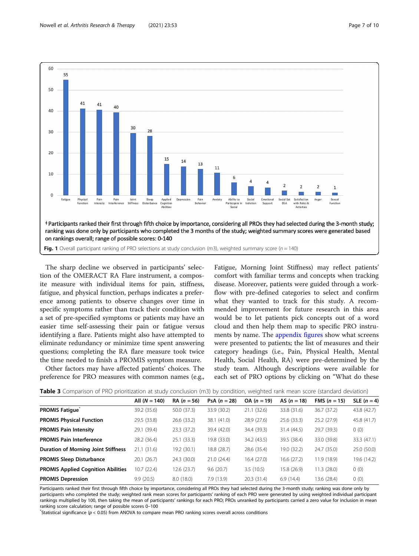<span id="page-6-0"></span>

The sharp decline we observed in participants' selection of the OMERACT RA Flare instrument, a composite measure with individual items for pain, stiffness, fatigue, and physical function, perhaps indicates a preference among patients to observe changes over time in specific symptoms rather than track their condition with a set of pre-specified symptoms or patients may have an easier time self-assessing their pain or fatigue versus identifying a flare. Patients might also have attempted to eliminate redundancy or minimize time spent answering questions; completing the RA flare measure took twice the time needed to finish a PROMIS symptom measure.

Other factors may have affected patients' choices. The preference for PRO measures with common names (e.g.,

Fatigue, Morning Joint Stiffness) may reflect patients' comfort with familiar terms and concepts when tracking disease. Moreover, patients were guided through a workflow with pre-defined categories to select and confirm what they wanted to track for this study. A recommended improvement for future research in this area would be to let patients pick concepts out of a word cloud and then help them map to specific PRO instruments by name. The [appendix figures](#page-8-0) show what screens were presented to patients; the list of measures and their category headings (i.e., Pain, Physical Health, Mental Health, Social Health, RA) were pre-determined by the study team. Although descriptions were available for each set of PRO options by clicking on "What do these

| <b>Table 3</b> Comparison of PRO prioritization at study conclusion (m3) by condition, weighted rank mean score (standard deviation) |
|--------------------------------------------------------------------------------------------------------------------------------------|
|--------------------------------------------------------------------------------------------------------------------------------------|

|                                            | All $(N = 140)$ | $RA (n = 56)$ | PsA $(n = 28)$ | $OA (n = 19)$ | AS $(n = 18)$ | <b>FMS</b> $(n = 15)$ | SLE $(n=4)$ |
|--------------------------------------------|-----------------|---------------|----------------|---------------|---------------|-----------------------|-------------|
| <b>PROMIS Fatique</b>                      | 39.2 (35.6)     | 50.0 (37.3)   | 33.9 (30.2)    | 21.1(32.6)    | 33.8 (31.6)   | 36.7 (37.2)           | 43.8 (42.7) |
| <b>PROMIS Physical Function</b>            | 29.5 (33.8)     | 26.6 (33.2)   | 38.1 (41.0)    | 28.9(27.6)    | 25.6(33.3)    | 25.2(27.9)            | 45.8 (41.7) |
| <b>PROMIS Pain Intensity</b>               | 29.1 (39.4)     | 23.3(37.2)    | 39.4 (42.0)    | 34.4 (39.3)   | 31.4 (44.5)   | 29.7 (39.3)           | 0(0)        |
| <b>PROMIS Pain Interference</b>            | 28.2 (36.4)     | 25.1(33.3)    | 19.8 (33.0)    | 34.2 (43.5)   | 39.5 (38.4)   | 33.0 (39.8)           | 33.3 (47.1) |
| <b>Duration of Morning Joint Stiffness</b> | 21.1(31.6)      | 19.2 (30.1)   | 18.8 (28.7)    | 28.6 (35.4)   | 19.0 (32.2)   | 24.7 (35.0)           | 25.0 (50.0) |
| <b>PROMIS Sleep Disturbance</b>            | 20.1(26.7)      | 24.3 (30.0)   | 21.0(24.4)     | 16.4(27.0)    | 16.6 (27.2)   | 11.9(18.9)            | 19.6 (14.2) |
| <b>PROMIS Applied Cognition Abilities</b>  | 10.7 (22.4)     | 12.6(23.7)    | 9.6(20.7)      | 3.5(10.5)     | 15.8 (26.9)   | 11.3(28.0)            | 0(0)        |
| <b>PROMIS Depression</b>                   | 9.9(20.5)       | 8.0(18.0)     | 7.9(13.9)      | 20.3(31.4)    | 6.9(14.4)     | 13.6 (28.4)           | 0(0)        |
|                                            |                 |               |                |               |               |                       |             |

Participants ranked their first through fifth choice by importance, considering all PROs they had selected during the 3-month study; ranking was done only by participants who completed the study; weighted rank mean scores for participants' ranking of each PRO were generated by using weighted individual participant rankings multiplied by 100, then taking the mean of participants' rankings for each PRO; PROs unranked by participants carried a zero value for inclusion in mean ranking score calculation; range of possible scores 0–<sup>100</sup> \*

 $*$ Statistical significance ( $p < 0.05$ ) from ANOVA to compare mean PRO ranking scores overall across conditions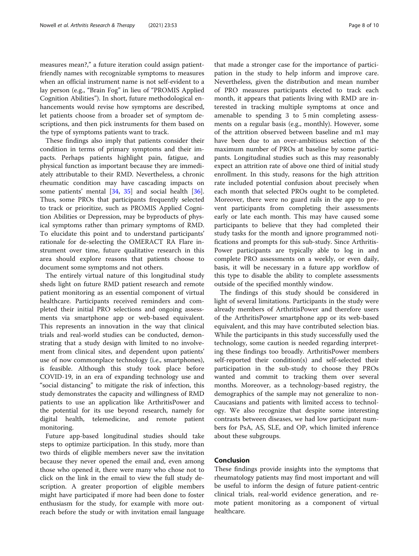measures mean?," a future iteration could assign patientfriendly names with recognizable symptoms to measures when an official instrument name is not self-evident to a lay person (e.g., "Brain Fog" in lieu of "PROMIS Applied Cognition Abilities"). In short, future methodological enhancements would revise how symptoms are described, let patients choose from a broader set of symptom descriptions, and then pick instruments for them based on the type of symptoms patients want to track.

These findings also imply that patients consider their condition in terms of primary symptoms and their impacts. Perhaps patients highlight pain, fatigue, and physical function as important because they are immediately attributable to their RMD. Nevertheless, a chronic rheumatic condition may have cascading impacts on some patients' mental [[34,](#page-9-0) [35\]](#page-9-0) and social health [\[36](#page-9-0)]. Thus, some PROs that participants frequently selected to track or prioritize, such as PROMIS Applied Cognition Abilities or Depression, may be byproducts of physical symptoms rather than primary symptoms of RMD. To elucidate this point and to understand participants' rationale for de-selecting the OMERACT RA Flare instrument over time, future qualitative research in this area should explore reasons that patients choose to document some symptoms and not others.

The entirely virtual nature of this longitudinal study sheds light on future RMD patient research and remote patient monitoring as an essential component of virtual healthcare. Participants received reminders and completed their initial PRO selections and ongoing assessments via smartphone app or web-based equivalent. This represents an innovation in the way that clinical trials and real-world studies can be conducted, demonstrating that a study design with limited to no involvement from clinical sites, and dependent upon patients' use of now commonplace technology (i.e., smartphones), is feasible. Although this study took place before COVID-19, in an era of expanding technology use and "social distancing" to mitigate the risk of infection, this study demonstrates the capacity and willingness of RMD patients to use an application like ArthritisPower and the potential for its use beyond research, namely for digital health, telemedicine, and remote patient monitoring.

Future app-based longitudinal studies should take steps to optimize participation. In this study, more than two thirds of eligible members never saw the invitation because they never opened the email and, even among those who opened it, there were many who chose not to click on the link in the email to view the full study description. A greater proportion of eligible members might have participated if more had been done to foster enthusiasm for the study, for example with more outreach before the study or with invitation email language

that made a stronger case for the importance of participation in the study to help inform and improve care. Nevertheless, given the distribution and mean number of PRO measures participants elected to track each month, it appears that patients living with RMD are interested in tracking multiple symptoms at once and amenable to spending 3 to 5 min completing assessments on a regular basis (e.g., monthly). However, some of the attrition observed between baseline and m1 may have been due to an over-ambitious selection of the maximum number of PROs at baseline by some participants. Longitudinal studies such as this may reasonably expect an attrition rate of above one third of initial study enrollment. In this study, reasons for the high attrition rate included potential confusion about precisely when each month that selected PROs ought to be completed. Moreover, there were no guard rails in the app to prevent participants from completing their assessments early or late each month. This may have caused some participants to believe that they had completed their study tasks for the month and ignore programmed notifications and prompts for this sub-study. Since Arthritis-Power participants are typically able to log in and complete PRO assessments on a weekly, or even daily, basis, it will be necessary in a future app workflow of this type to disable the ability to complete assessments outside of the specified monthly window.

The findings of this study should be considered in light of several limitations. Participants in the study were already members of ArthritisPower and therefore users of the ArthritisPower smartphone app or its web-based equivalent, and this may have contributed selection bias. While the participants in this study successfully used the technology, some caution is needed regarding interpreting these findings too broadly. ArthritisPower members self-reported their condition(s) and self-selected their participation in the sub-study to choose they PROs wanted and commit to tracking them over several months. Moreover, as a technology-based registry, the demographics of the sample may not generalize to non-Caucasians and patients with limited access to technology. We also recognize that despite some interesting contrasts between diseases, we had low participant numbers for PsA, AS, SLE, and OP, which limited inference about these subgroups.

# Conclusion

These findings provide insights into the symptoms that rheumatology patients may find most important and will be useful to inform the design of future patient-centric clinical trials, real-world evidence generation, and remote patient monitoring as a component of virtual healthcare.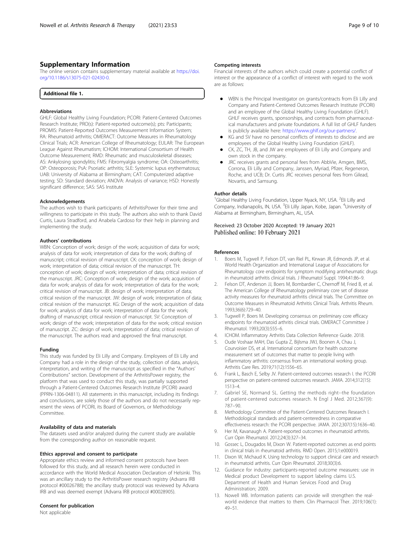## <span id="page-8-0"></span>Supplementary Information

The online version contains supplementary material available at [https://doi.](https://doi.org/10.1186/s13075-021-02430-0) [org/10.1186/s13075-021-02430-0.](https://doi.org/10.1186/s13075-021-02430-0)

| <b>Additional file 1.</b> |  |  |
|---------------------------|--|--|
|---------------------------|--|--|

#### Abbreviations

GHLF: Global Healthy Living Foundation; PCORI: Patient-Centered Outcomes Research Institute; PRO(s): Patient-reported outcome(s); pts: Participants; PROMIS: Patient-Reported Outcomes Measurement Information System; RA: Rheumatoid arthritis; OMERACT: Outcome Measures in Rheumatology Clinical Trials; ACR: American College of Rheumatology; EULAR: The European League Against Rheumatism; ICHOM: International Consortium of Health Outcome Measurement; RMD: Rheumatic and musculoskeletal diseases; AS: Ankylosing spondylitis; FMS: Fibromyalgia syndrome; OA: Osteoarthritis; OP: Osteoporosis; PsA: Psoriatic arthritis; SLE: Systemic lupus erythematosus; UAB: University of Alabama at Birmingham; CAT: Computerized adaptive testing; SD: Standard deviation; ANOVA: Analysis of variance; HSD: Honestly significant difference; SAS: SAS Institute

#### Acknowledgements

The authors wish to thank participants of ArthritisPower for their time and willingness to participate in this study. The authors also wish to thank David Curtis, Laura Stradford, and Anabela Cardoso for their help in planning and implementing the study.

#### Authors' contributions

WBN: Conception of work; design of the work; acquisition of data for work; analysis of data for work; interpretation of data for the work; drafting of manuscript; critical revision of manuscript. CK: conception of work; design of work; interpretation of data; critical revision of the manuscript. TH: conception of work; design of work; interpretation of data; critical revision of the manuscript. JRC: Conception of work; design of the work; acquisition of data for work; analysis of data for work; interpretation of data for the work; critical revision of manuscript. JB: design of work; interpretation of data; critical revision of the manuscript. JW: design of work; interpretation of data; critical revision of the manuscript. KG: Design of the work; acquisition of data for work; analysis of data for work; interpretation of data for the work; drafting of manuscript; critical revision of manuscript. SV: Conception of work; design of the work; interpretation of data for the work; critical revision of manuscript. ZC: design of work; interpretation of data; critical revision of the manuscript. The authors read and approved the final manuscript.

#### Funding

This study was funded by Eli Lilly and Company. Employees of Eli Lilly and Company had a role in the design of the study, collection of data, analysis, interpretation, and writing of the manuscript as specified in the "Authors' Contributions" section. Development of the ArthritisPower registry, the platform that was used to conduct this study, was partially supported through a Patient-Centered Outcomes Research Institute (PCORI) award (PPRN-1306-04811). All statements in this manuscript, including its findings and conclusions, are solely those of the authors and do not necessarily represent the views of PCORI, its Board of Governors, or Methodology Committee.

#### Availability of data and materials

The datasets used and/or analyzed during the current study are available from the corresponding author on reasonable request.

#### Ethics approval and consent to participate

Appropriate ethics review and informed consent protocols have been followed for this study, and all research herein were conducted in accordance with the World Medical Association Declaration of Helsinki. This was an ancillary study to the ArthritisPower research registry (Advarra IRB protocol #00026788); the ancillary study protocol was reviewed by Advarra IRB and was deemed exempt (Advarra IRB protocol #00028905).

#### Consent for publication

Not applicable

#### Competing interests

Financial interests of the authors which could create a potential conflict of interest or the appearance of a conflict of interest with regard to the work are as follows:

- WBN is the Principal Investigator on grants/contracts from Eli Lilly and Company and Patient-Centered Outcomes Research Institute (PCORI) and an employee of the Global Healthy Living Foundation (GHLF). GHLF receives grants, sponsorships, and contracts from pharmaceutical manufacturers and private foundations. A full list of GHLF funders is publicly available here: [https://www.ghlf.org/our-partners/.](https://www.ghlf.org/our-partners/)
- KG and SV have no personal conflicts of interests to disclose and are employees of the Global Healthy Living Foundation (GHLF).
- CK, ZC, TH, JB, and JW are employees of Eli Lilly and Company and own stock in the company.
- JRC receives grants and personal fees from AbbVie, Amgen, BMS, Corrona, Eli Lilly and Company, Janssen, Myriad, Pfizer, Regeneron, Roche, and UCB; Dr. Curtis JRC receives personal fees from Gilead, Novartis, and Samsung.

#### Author details

<sup>1</sup>Global Healthy Living Foundation, Upper Nyack, NY, USA. <sup>2</sup>Eli Lilly and Company, Indianapolis, IN, USA. <sup>3</sup>Eli Lilly Japan, Kobe, Japan. <sup>4</sup>University of Alabama at Birmingham, Birmingham, AL, USA.

#### Received: 23 October 2020 Accepted: 19 January 2021 Published online: 10 February 2021

#### References

- Boers M, Tugwell P, Felson DT, van Riel PL, Kirwan JR, Edmonds JP, et al. World Health Organization and International League of Associations for Rheumatology core endpoints for symptom modifying antirheumatic drugs in rheumatoid arthritis clinical trials. J Rheumatol Suppl. 1994;41:86–9.
- 2. Felson DT, Anderson JJ, Boers M, Bombardier C, Chernoff M, Fried B, et al. The American College of Rheumatology preliminary core set of disease activity measures for rheumatoid arthritis clinical trials. The Committee on Outcome Measures in Rheumatoid Arthritis Clinical Trials. Arthritis Rheum. 1993;36(6):729–40.
- 3. Tugwell P, Boers M. Developing consensus on preliminary core efficacy endpoints for rheumatoid arthritis clinical trials. OMERACT Committee J Rheumatol. 1993;20(3):555–6.
- 4. ICHOM. Inflammatory Arthritis Data Collection Reference Guide. 2018.
- 5. Oude Voshaar MAH, Das Gupta Z, Bijlsma JWJ, Boonen A, Chau J, Courvoisier DS, et al. International consortium for health outcome measurement set of outcomes that matter to people living with inflammatory arthritis: consensus from an international working group. Arthritis Care Res. 2019;71(12):1556–65.
- 6. Frank L, Basch E, Selby JV. Patient-centered outcomes research I. the PCORI perspective on patient-centered outcomes research. JAMA. 2014;312(15): 1513–4.
- 7. Gabriel SE, Normand SL. Getting the methods right--the foundation of patient-centered outcomes research. N Engl J Med. 2012;367(9): 787–90.
- 8. Methodology Committee of the Patient-Centered Outcomes Research I. Methodological standards and patient-centeredness in comparative effectiveness research: the PCORI perspective. JAMA. 2012;307(15):1636–40.
- 9. Her M, Kavanaugh A. Patient-reported outcomes in rheumatoid arthritis. Curr Opin Rheumatol. 2012;24(3):327–34.
- 10. Gossec L, Dougados M, Dixon W. Patient-reported outcomes as end points in clinical trials in rheumatoid arthritis. RMD Open. 2015;1:e000019.
- 11. Dixon W, Michaud K. Using technology to support clinical care and research in rheumatoid arthritis. Curr Opin Rheumatol. 2018;30(3):6.
- 12. Guidance for industry: participants-reported outcome measures: use in Medical product Development to support labeling claims U.S. Department of Health and Human Services Food and Drug Administration; 2009.
- 13. Nowell WB. Information patients can provide will strengthen the realworld evidence that matters to them. Clin Pharmacol Ther. 2019;106(1): 49–51.